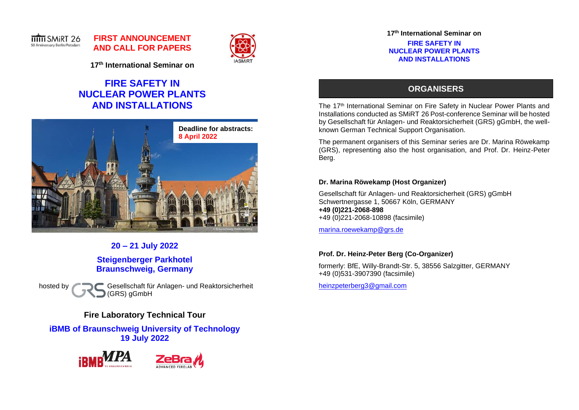

# **FIRST ANNOUNCEMENT AND CALL FOR PAPERS**



**17th International Seminar on**

# **FIRE SAFETY IN NUCLEAR POWER PLANTS AND INSTALLATIONS**



**20 – 21 July 2022 Steigenberger Parkhotel Braunschweig, Germany**

hosted by Gesellschaft für Anlagen- und Reaktorsicherheit (GRS) gGmbH

# **Fire Laboratory Technical Tour**

**iBMB of Braunschweig University of Technology 19 July 2022**





**17th International Seminar on**

**FIRE SAFETY IN NUCLEAR POWER PLANTS AND INSTALLATIONS**

# **ORGANISERS**

The 17<sup>th</sup> International Seminar on Fire Safety in Nuclear Power Plants and Installations conducted as SMiRT 26 Post-conference Seminar will be hosted by Gesellschaft für Anlagen- und Reaktorsicherheit (GRS) gGmbH, the wellknown German Technical Support Organisation.

The permanent organisers of this Seminar series are Dr. Marina Röwekamp (GRS), representing also the host organisation, and Prof. Dr. Heinz-Peter Berg.

## **Dr. Marina Röwekamp (Host Organizer)**

Gesellschaft für Anlagen- und Reaktorsicherheit (GRS) gGmbH Schwertnergasse 1, 50667 Köln, GERMANY **+49 (0)221-2068-898** +49 (0)221-2068-10898 (facsimile)

[marina.roewekamp@grs.de](mailto:marina.roewekamp@grs.de)

# **Prof. Dr. Heinz-Peter Berg (Co-Organizer)**

formerly: BfE, Willy-Brandt-Str. 5, 38556 Salzgitter, GERMANY +49 (0)531-3907390 (facsimile)

[heinzpeterberg3@gmail.com](mailto:heinzpeterberg3@gmail.com)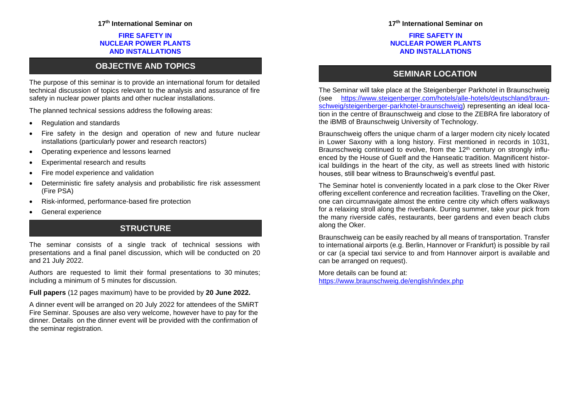### **17th International Seminar on**

### **FIRE SAFETY IN NUCLEAR POWER PLANTS AND INSTALLATIONS**

# **OBJECTIVE AND TOPICS**

The purpose of this seminar is to provide an international forum for detailed technical discussion of topics relevant to the analysis and assurance of fire safety in nuclear power plants and other nuclear installations.

The planned technical sessions address the following areas:

- Regulation and standards
- Fire safety in the design and operation of new and future nuclear installations (particularly power and research reactors)
- Operating experience and lessons learned
- Experimental research and results
- Fire model experience and validation
- Deterministic fire safety analysis and probabilistic fire risk assessment (Fire PSA)
- Risk-informed, performance-based fire protection
- General experience

# **STRUCTURE**

The seminar consists of a single track of technical sessions with presentations and a final panel discussion, which will be conducted on 20 and 21 July 2022.

Authors are requested to limit their formal presentations to 30 minutes; including a minimum of 5 minutes for discussion.

### **Full papers** (12 pages maximum) have to be provided by **20 June 2022.**

A dinner event will be arranged on 20 July 2022 for attendees of the SMiRT Fire Seminar. Spouses are also very welcome, however have to pay for the dinner. Details on the dinner event will be provided with the confirmation of the seminar registration.

### **17th International Seminar on**

### **FIRE SAFETY IN NUCLEAR POWER PLANTS AND INSTALLATIONS**

# **SEMINAR LOCATION**

The Seminar will take place at the Steigenberger Parkhotel in Braunschweig (see [https://www.steigenberger.com/hotels/alle-hotels/deutschland/braun](https://www.steigenberger.com/hotels/alle-hotels/deutschland/braunschweig/steigenberger-parkhotel-braunschweig)[schweig/steigenberger-parkhotel-braunschweig\)](https://www.steigenberger.com/hotels/alle-hotels/deutschland/braunschweig/steigenberger-parkhotel-braunschweig) representing an ideal location in the centre of Braunschweig and close to the ZEBRA fire laboratory of the iBMB of Braunschweig University of Technology.

Braunschweig offers the unique charm of a larger modern city nicely located in Lower Saxony with a long history. First mentioned in records in 1031, Braunschweig continued to evolve, from the 12<sup>th</sup> century on strongly influenced by the House of Guelf and the Hanseatic tradition. Magnificent historical buildings in the heart of the city, as well as streets lined with historic houses, still bear witness to Braunschweig's eventful past.

The Seminar hotel is conveniently located in a park close to the Oker River offering excellent conference and recreation facilities. Travelling on the Oker, one can circumnavigate almost the entire centre city which offers walkways for a relaxing stroll along the riverbank. During summer, take your pick from the many riverside cafés, restaurants, beer gardens and even beach clubs along the Oker.

Braunschweig can be easily reached by all means of transportation. Transfer to international airports (e.g. Berlin, Hannover or Frankfurt) is possible by rail or car (a special taxi service to and from Hannover airport is available and can be arranged on request).

More details can be found at: <https://www.braunschweig.de/english/index.php>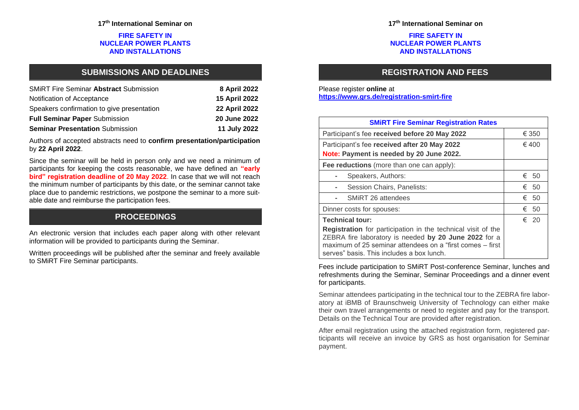### **FIRE SAFETY IN NUCLEAR POWER PLANTS AND INSTALLATIONS**

# **SUBMISSIONS AND DEADLINES**

| <b>SMIRT Fire Seminar Abstract Submission</b> | 8 April 2022         |
|-----------------------------------------------|----------------------|
| Notification of Acceptance                    | 15 April 2022        |
| Speakers confirmation to give presentation    | <b>22 April 2022</b> |
| <b>Full Seminar Paper Submission</b>          | 20 June 2022         |
| <b>Seminar Presentation Submission</b>        | 11 July 2022         |

Authors of accepted abstracts need to **confirm presentation/participation** by **22 April 2022**.

Since the seminar will be held in person only and we need a minimum of participants for keeping the costs reasonable, we have defined an **"early bird" registration deadline of 20 May 2022**. In case that we will not reach the minimum number of participants by this date, or the seminar cannot take place due to pandemic restrictions, we postpone the seminar to a more suitable date and reimburse the participation fees.

# **PROCEEDINGS**

An electronic version that includes each paper along with other relevant information will be provided to participants during the Seminar.

Written proceedings will be published after the seminar and freely available to SMiRT Fire Seminar participants.

### **FIRE SAFETY IN NUCLEAR POWER PLANTS AND INSTALLATIONS**

# **REGISTRATION AND FEES**

### Please register **online** at **<https://www.grs.de/registration-smirt-fire>**

| <b>SMIRT Fire Seminar Registration Rates</b>                                                                                                                                                                                    |           |  |
|---------------------------------------------------------------------------------------------------------------------------------------------------------------------------------------------------------------------------------|-----------|--|
| Participant's fee received before 20 May 2022                                                                                                                                                                                   | € 350     |  |
| Participant's fee received after 20 May 2022<br>Note: Payment is needed by 20 June 2022.                                                                                                                                        | € 400     |  |
| Fee reductions (more than one can apply):                                                                                                                                                                                       |           |  |
| Speakers, Authors:                                                                                                                                                                                                              | € 50      |  |
| Session Chairs, Panelists:                                                                                                                                                                                                      | € 50      |  |
| SMIRT 26 attendees                                                                                                                                                                                                              | € 50      |  |
| Dinner costs for spouses:                                                                                                                                                                                                       | €<br>- 50 |  |
| <b>Technical tour:</b>                                                                                                                                                                                                          | € 20      |  |
| Registration for participation in the technical visit of the<br>ZEBRA fire laboratory is needed by 20 June 2022 for a<br>maximum of 25 seminar attendees on a "first comes – first<br>serves" basis. This includes a box lunch. |           |  |

Fees include participation to SMiRT Post-conference Seminar, lunches and refreshments during the Seminar, Seminar Proceedings and a dinner event for participants.

Seminar attendees participating in the technical tour to the ZEBRA fire laboratory at iBMB of Braunschweig University of Technology can either make their own travel arrangements or need to register and pay for the transport. Details on the Technical Tour are provided after registration.

After email registration using the attached registration form, registered participants will receive an invoice by GRS as host organisation for Seminar payment.